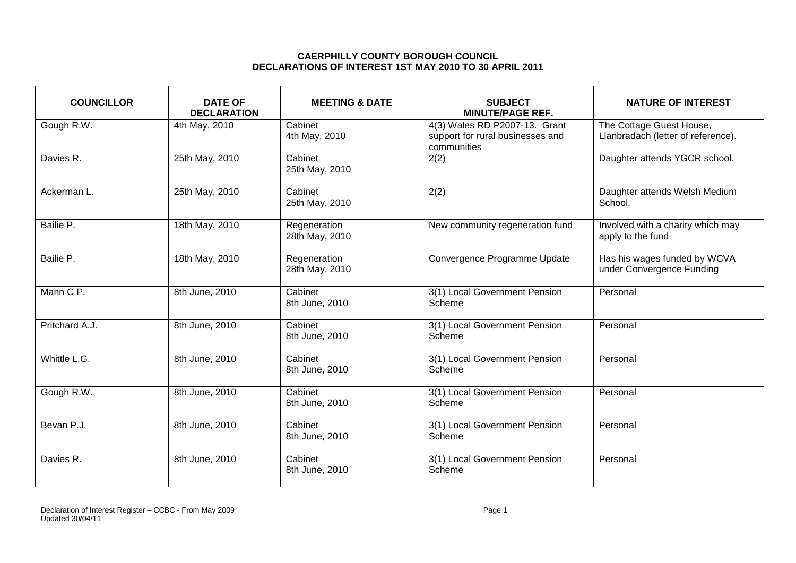## **CAERPHILLY COUNTY BOROUGH COUNCIL DECLARATIONS OF INTEREST 1ST MAY 2010 TO 30 APRIL 2011**

| <b>COUNCILLOR</b> | <b>DATE OF</b><br><b>DECLARATION</b> | <b>MEETING &amp; DATE</b>      | <b>SUBJECT</b><br><b>MINUTE/PAGE REF.</b>                                        | <b>NATURE OF INTEREST</b>                                      |
|-------------------|--------------------------------------|--------------------------------|----------------------------------------------------------------------------------|----------------------------------------------------------------|
| Gough R.W.        | 4th May, 2010                        | Cabinet<br>4th May, 2010       | 4(3) Wales RD P2007-13. Grant<br>support for rural businesses and<br>communities | The Cottage Guest House,<br>Llanbradach (letter of reference). |
| Davies R.         | 25th May, 2010                       | Cabinet<br>25th May, 2010      | 2(2)                                                                             | Daughter attends YGCR school.                                  |
| Ackerman L.       | 25th May, 2010                       | Cabinet<br>25th May, 2010      | 2(2)                                                                             | Daughter attends Welsh Medium<br>School.                       |
| Bailie P.         | 18th May, 2010                       | Regeneration<br>28th May, 2010 | New community regeneration fund                                                  | Involved with a charity which may<br>apply to the fund         |
| Bailie P.         | 18th May, 2010                       | Regeneration<br>28th May, 2010 | Convergence Programme Update                                                     | Has his wages funded by WCVA<br>under Convergence Funding      |
| Mann C.P.         | 8th June, 2010                       | Cabinet<br>8th June, 2010      | 3(1) Local Government Pension<br>Scheme                                          | Personal                                                       |
| Pritchard A.J.    | 8th June, 2010                       | Cabinet<br>8th June, 2010      | 3(1) Local Government Pension<br>Scheme                                          | Personal                                                       |
| Whittle L.G.      | 8th June, 2010                       | Cabinet<br>8th June, 2010      | 3(1) Local Government Pension<br>Scheme                                          | Personal                                                       |
| Gough R.W.        | 8th June, 2010                       | Cabinet<br>8th June, 2010      | 3(1) Local Government Pension<br>Scheme                                          | Personal                                                       |
| Bevan P.J.        | 8th June, 2010                       | Cabinet<br>8th June, 2010      | 3(1) Local Government Pension<br>Scheme                                          | Personal                                                       |
| Davies R.         | 8th June, 2010                       | Cabinet<br>8th June, 2010      | 3(1) Local Government Pension<br>Scheme                                          | Personal                                                       |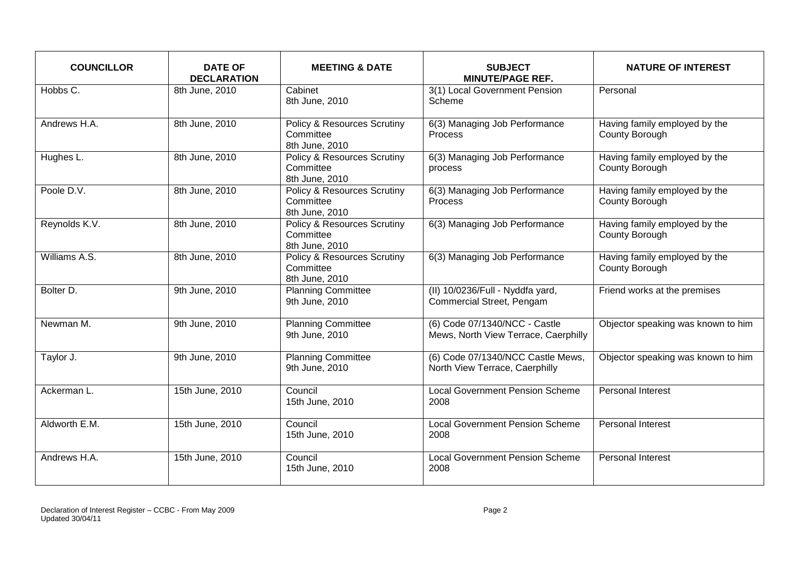| <b>COUNCILLOR</b> | <b>DATE OF</b><br><b>DECLARATION</b> | <b>MEETING &amp; DATE</b>                                             | <b>SUBJECT</b><br><b>MINUTE/PAGE REF.</b>                             | <b>NATURE OF INTEREST</b>                       |
|-------------------|--------------------------------------|-----------------------------------------------------------------------|-----------------------------------------------------------------------|-------------------------------------------------|
| Hobbs C.          | 8th June, 2010                       | Cabinet<br>8th June, 2010                                             | 3(1) Local Government Pension<br>Scheme                               | Personal                                        |
| Andrews H.A.      | 8th June, 2010                       | <b>Policy &amp; Resources Scrutiny</b><br>Committee<br>8th June, 2010 | 6(3) Managing Job Performance<br>Process                              | Having family employed by the<br>County Borough |
| Hughes L.         | 8th June, 2010                       | Policy & Resources Scrutiny<br>Committee<br>8th June, 2010            | 6(3) Managing Job Performance<br>process                              | Having family employed by the<br>County Borough |
| Poole D.V.        | 8th June, 2010                       | <b>Policy &amp; Resources Scrutiny</b><br>Committee<br>8th June, 2010 | 6(3) Managing Job Performance<br><b>Process</b>                       | Having family employed by the<br>County Borough |
| Reynolds K.V.     | 8th June, 2010                       | <b>Policy &amp; Resources Scrutiny</b><br>Committee<br>8th June, 2010 | 6(3) Managing Job Performance                                         | Having family employed by the<br>County Borough |
| Williams A.S.     | 8th June, 2010                       | <b>Policy &amp; Resources Scrutiny</b><br>Committee<br>8th June, 2010 | 6(3) Managing Job Performance                                         | Having family employed by the<br>County Borough |
| Bolter D.         | 9th June, 2010                       | <b>Planning Committee</b><br>9th June, 2010                           | (II) 10/0236/Full - Nyddfa yard,<br>Commercial Street, Pengam         | Friend works at the premises                    |
| Newman M.         | 9th June, 2010                       | <b>Planning Committee</b><br>9th June, 2010                           | (6) Code 07/1340/NCC - Castle<br>Mews, North View Terrace, Caerphilly | Objector speaking was known to him              |
| Taylor J.         | 9th June, 2010                       | <b>Planning Committee</b><br>9th June, 2010                           | (6) Code 07/1340/NCC Castle Mews,<br>North View Terrace, Caerphilly   | Objector speaking was known to him              |
| Ackerman L.       | 15th June, 2010                      | Council<br>15th June, 2010                                            | <b>Local Government Pension Scheme</b><br>2008                        | Personal Interest                               |
| Aldworth E.M.     | 15th June, 2010                      | Council<br>15th June, 2010                                            | <b>Local Government Pension Scheme</b><br>2008                        | <b>Personal Interest</b>                        |
| Andrews H.A.      | 15th June, 2010                      | Council<br>15th June, 2010                                            | <b>Local Government Pension Scheme</b><br>2008                        | <b>Personal Interest</b>                        |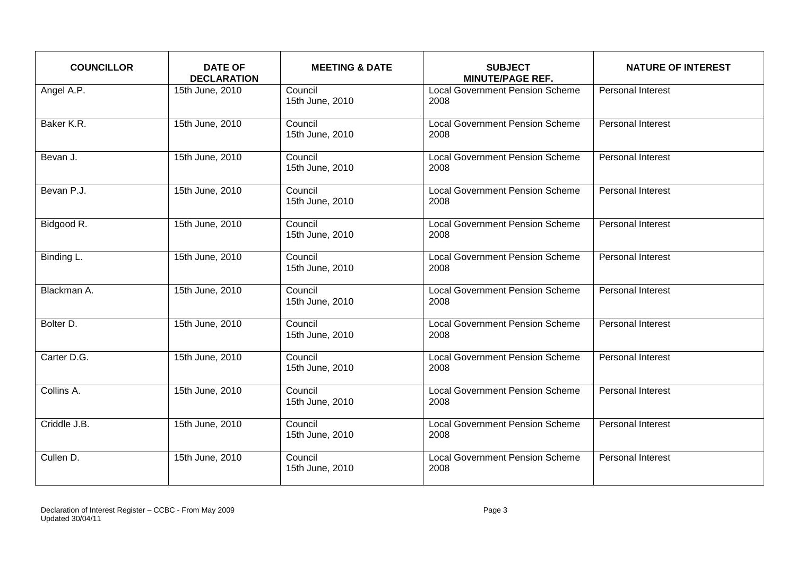| <b>COUNCILLOR</b> | <b>DATE OF</b><br><b>DECLARATION</b> | <b>MEETING &amp; DATE</b>  | <b>SUBJECT</b><br><b>MINUTE/PAGE REF.</b>      | <b>NATURE OF INTEREST</b> |
|-------------------|--------------------------------------|----------------------------|------------------------------------------------|---------------------------|
| Angel A.P.        | 15th June, 2010                      | Council<br>15th June, 2010 | <b>Local Government Pension Scheme</b><br>2008 | <b>Personal Interest</b>  |
| Baker K.R.        | 15th June, 2010                      | Council<br>15th June, 2010 | <b>Local Government Pension Scheme</b><br>2008 | <b>Personal Interest</b>  |
| Bevan J.          | 15th June, 2010                      | Council<br>15th June, 2010 | <b>Local Government Pension Scheme</b><br>2008 | Personal Interest         |
| Bevan P.J.        | 15th June, 2010                      | Council<br>15th June, 2010 | <b>Local Government Pension Scheme</b><br>2008 | <b>Personal Interest</b>  |
| Bidgood R.        | 15th June, 2010                      | Council<br>15th June, 2010 | <b>Local Government Pension Scheme</b><br>2008 | <b>Personal Interest</b>  |
| Binding L.        | 15th June, 2010                      | Council<br>15th June, 2010 | <b>Local Government Pension Scheme</b><br>2008 | Personal Interest         |
| Blackman A.       | 15th June, 2010                      | Council<br>15th June, 2010 | <b>Local Government Pension Scheme</b><br>2008 | <b>Personal Interest</b>  |
| Bolter D.         | 15th June, 2010                      | Council<br>15th June, 2010 | <b>Local Government Pension Scheme</b><br>2008 | Personal Interest         |
| Carter D.G.       | 15th June, 2010                      | Council<br>15th June, 2010 | <b>Local Government Pension Scheme</b><br>2008 | <b>Personal Interest</b>  |
| Collins A.        | 15th June, 2010                      | Council<br>15th June, 2010 | <b>Local Government Pension Scheme</b><br>2008 | <b>Personal Interest</b>  |
| Criddle J.B.      | 15th June, 2010                      | Council<br>15th June, 2010 | <b>Local Government Pension Scheme</b><br>2008 | Personal Interest         |
| Cullen D.         | 15th June, 2010                      | Council<br>15th June, 2010 | <b>Local Government Pension Scheme</b><br>2008 | <b>Personal Interest</b>  |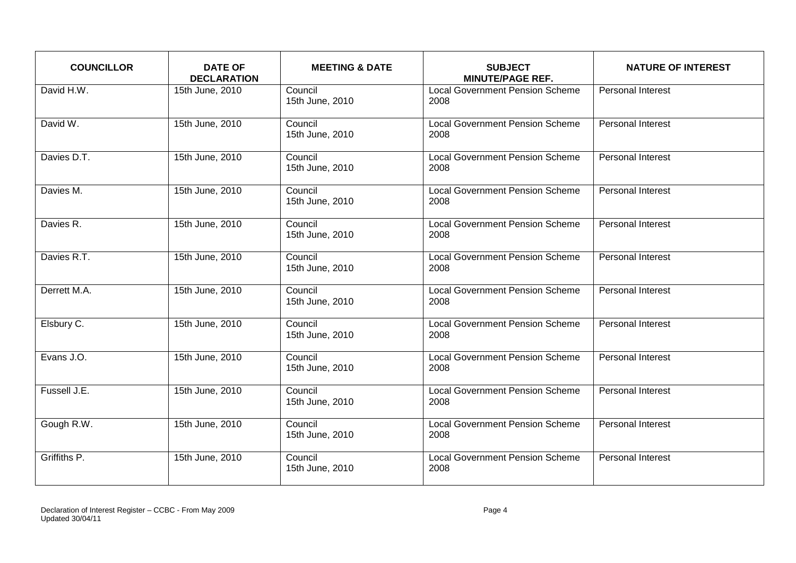| <b>COUNCILLOR</b> | <b>DATE OF</b><br><b>DECLARATION</b> | <b>MEETING &amp; DATE</b>  | <b>SUBJECT</b><br><b>MINUTE/PAGE REF.</b>      | <b>NATURE OF INTEREST</b> |
|-------------------|--------------------------------------|----------------------------|------------------------------------------------|---------------------------|
| David H.W.        | 15th June, 2010                      | Council<br>15th June, 2010 | <b>Local Government Pension Scheme</b><br>2008 | <b>Personal Interest</b>  |
| David W.          | 15th June, 2010                      | Council<br>15th June, 2010 | <b>Local Government Pension Scheme</b><br>2008 | <b>Personal Interest</b>  |
| Davies D.T.       | 15th June, 2010                      | Council<br>15th June, 2010 | <b>Local Government Pension Scheme</b><br>2008 | Personal Interest         |
| Davies M.         | 15th June, 2010                      | Council<br>15th June, 2010 | <b>Local Government Pension Scheme</b><br>2008 | <b>Personal Interest</b>  |
| Davies R.         | 15th June, 2010                      | Council<br>15th June, 2010 | <b>Local Government Pension Scheme</b><br>2008 | <b>Personal Interest</b>  |
| Davies R.T.       | 15th June, 2010                      | Council<br>15th June, 2010 | <b>Local Government Pension Scheme</b><br>2008 | Personal Interest         |
| Derrett M.A.      | 15th June, 2010                      | Council<br>15th June, 2010 | <b>Local Government Pension Scheme</b><br>2008 | Personal Interest         |
| Elsbury C.        | 15th June, 2010                      | Council<br>15th June, 2010 | <b>Local Government Pension Scheme</b><br>2008 | Personal Interest         |
| Evans J.O.        | 15th June, 2010                      | Council<br>15th June, 2010 | <b>Local Government Pension Scheme</b><br>2008 | <b>Personal Interest</b>  |
| Fussell J.E.      | 15th June, 2010                      | Council<br>15th June, 2010 | <b>Local Government Pension Scheme</b><br>2008 | <b>Personal Interest</b>  |
| Gough R.W.        | 15th June, 2010                      | Council<br>15th June, 2010 | <b>Local Government Pension Scheme</b><br>2008 | Personal Interest         |
| Griffiths P.      | 15th June, 2010                      | Council<br>15th June, 2010 | <b>Local Government Pension Scheme</b><br>2008 | <b>Personal Interest</b>  |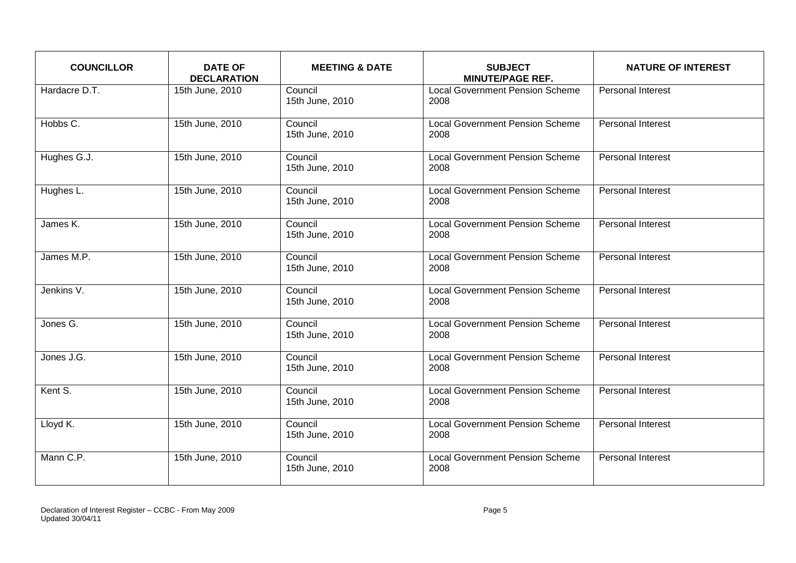| <b>COUNCILLOR</b>      | <b>DATE OF</b><br><b>DECLARATION</b> | <b>MEETING &amp; DATE</b>  | <b>SUBJECT</b><br><b>MINUTE/PAGE REF.</b>      | <b>NATURE OF INTEREST</b> |
|------------------------|--------------------------------------|----------------------------|------------------------------------------------|---------------------------|
| Hardacre D.T.          | 15th June, 2010                      | Council<br>15th June, 2010 | <b>Local Government Pension Scheme</b><br>2008 | <b>Personal Interest</b>  |
| Hobbs C.               | 15th June, 2010                      | Council<br>15th June, 2010 | <b>Local Government Pension Scheme</b><br>2008 | Personal Interest         |
| Hughes G.J.            | 15th June, 2010                      | Council<br>15th June, 2010 | <b>Local Government Pension Scheme</b><br>2008 | Personal Interest         |
| Hughes L.              | 15th June, 2010                      | Council<br>15th June, 2010 | <b>Local Government Pension Scheme</b><br>2008 | <b>Personal Interest</b>  |
| James K.               | 15th June, 2010                      | Council<br>15th June, 2010 | <b>Local Government Pension Scheme</b><br>2008 | <b>Personal Interest</b>  |
| James M.P.             | 15th June, 2010                      | Council<br>15th June, 2010 | <b>Local Government Pension Scheme</b><br>2008 | Personal Interest         |
| Jenkins V.             | 15th June, 2010                      | Council<br>15th June, 2010 | <b>Local Government Pension Scheme</b><br>2008 | Personal Interest         |
| Jones G.               | 15th June, 2010                      | Council<br>15th June, 2010 | <b>Local Government Pension Scheme</b><br>2008 | Personal Interest         |
| Jones J.G.             | 15th June, 2010                      | Council<br>15th June, 2010 | <b>Local Government Pension Scheme</b><br>2008 | <b>Personal Interest</b>  |
| Kent S.                | 15th June, 2010                      | Council<br>15th June, 2010 | <b>Local Government Pension Scheme</b><br>2008 | <b>Personal Interest</b>  |
| Lloyd $\overline{K}$ . | 15th June, 2010                      | Council<br>15th June, 2010 | <b>Local Government Pension Scheme</b><br>2008 | Personal Interest         |
| Mann C.P.              | 15th June, 2010                      | Council<br>15th June, 2010 | <b>Local Government Pension Scheme</b><br>2008 | Personal Interest         |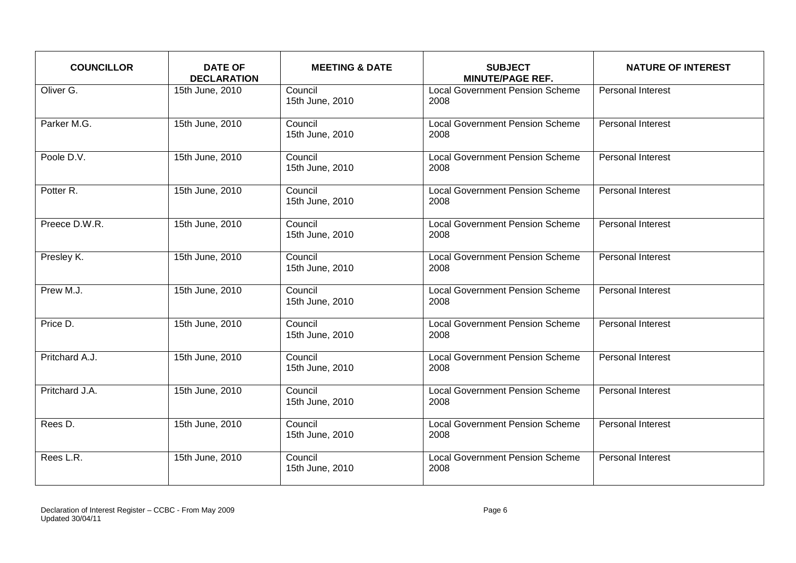| <b>COUNCILLOR</b> | <b>DATE OF</b><br><b>DECLARATION</b> | <b>MEETING &amp; DATE</b>  | <b>SUBJECT</b><br><b>MINUTE/PAGE REF.</b>      | <b>NATURE OF INTEREST</b> |
|-------------------|--------------------------------------|----------------------------|------------------------------------------------|---------------------------|
| Oliver G.         | 15th June, 2010                      | Council<br>15th June, 2010 | <b>Local Government Pension Scheme</b><br>2008 | <b>Personal Interest</b>  |
| Parker M.G.       | 15th June, 2010                      | Council<br>15th June, 2010 | <b>Local Government Pension Scheme</b><br>2008 | Personal Interest         |
| Poole D.V.        | 15th June, 2010                      | Council<br>15th June, 2010 | <b>Local Government Pension Scheme</b><br>2008 | Personal Interest         |
| Potter R.         | 15th June, 2010                      | Council<br>15th June, 2010 | <b>Local Government Pension Scheme</b><br>2008 | <b>Personal Interest</b>  |
| Preece D.W.R.     | 15th June, 2010                      | Council<br>15th June, 2010 | <b>Local Government Pension Scheme</b><br>2008 | <b>Personal Interest</b>  |
| Presley K.        | 15th June, 2010                      | Council<br>15th June, 2010 | <b>Local Government Pension Scheme</b><br>2008 | Personal Interest         |
| Prew M.J.         | 15th June, 2010                      | Council<br>15th June, 2010 | <b>Local Government Pension Scheme</b><br>2008 | Personal Interest         |
| Price D.          | 15th June, 2010                      | Council<br>15th June, 2010 | <b>Local Government Pension Scheme</b><br>2008 | Personal Interest         |
| Pritchard A.J.    | 15th June, 2010                      | Council<br>15th June, 2010 | <b>Local Government Pension Scheme</b><br>2008 | <b>Personal Interest</b>  |
| Pritchard J.A.    | 15th June, 2010                      | Council<br>15th June, 2010 | <b>Local Government Pension Scheme</b><br>2008 | <b>Personal Interest</b>  |
| Rees D.           | 15th June, 2010                      | Council<br>15th June, 2010 | <b>Local Government Pension Scheme</b><br>2008 | Personal Interest         |
| Rees L.R.         | 15th June, 2010                      | Council<br>15th June, 2010 | <b>Local Government Pension Scheme</b><br>2008 | <b>Personal Interest</b>  |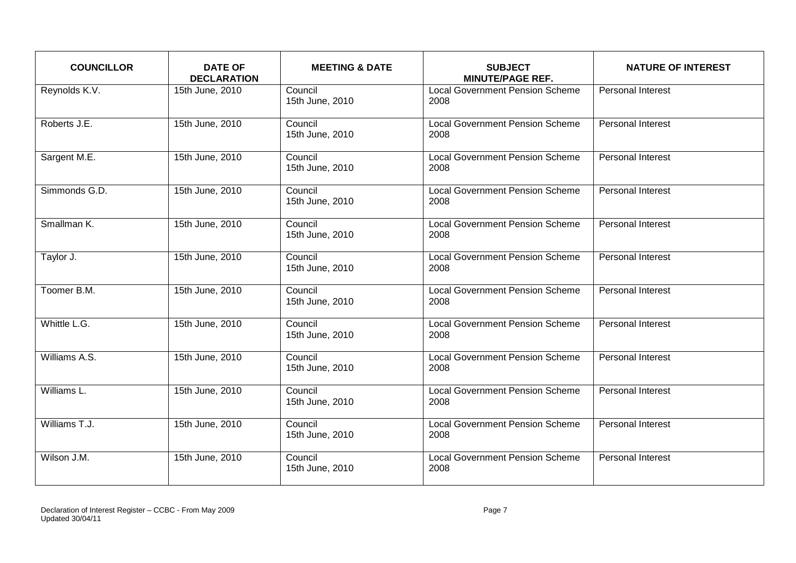| <b>COUNCILLOR</b> | <b>DATE OF</b><br><b>DECLARATION</b> | <b>MEETING &amp; DATE</b>  | <b>SUBJECT</b><br><b>MINUTE/PAGE REF.</b>      | <b>NATURE OF INTEREST</b> |
|-------------------|--------------------------------------|----------------------------|------------------------------------------------|---------------------------|
| Reynolds K.V.     | 15th June, 2010                      | Council<br>15th June, 2010 | <b>Local Government Pension Scheme</b><br>2008 | <b>Personal Interest</b>  |
| Roberts J.E.      | 15th June, 2010                      | Council<br>15th June, 2010 | <b>Local Government Pension Scheme</b><br>2008 | Personal Interest         |
| Sargent M.E.      | 15th June, 2010                      | Council<br>15th June, 2010 | <b>Local Government Pension Scheme</b><br>2008 | Personal Interest         |
| Simmonds G.D.     | 15th June, 2010                      | Council<br>15th June, 2010 | <b>Local Government Pension Scheme</b><br>2008 | <b>Personal Interest</b>  |
| Smallman K.       | 15th June, 2010                      | Council<br>15th June, 2010 | <b>Local Government Pension Scheme</b><br>2008 | <b>Personal Interest</b>  |
| Taylor J.         | 15th June, 2010                      | Council<br>15th June, 2010 | <b>Local Government Pension Scheme</b><br>2008 | <b>Personal Interest</b>  |
| Toomer B.M.       | 15th June, 2010                      | Council<br>15th June, 2010 | <b>Local Government Pension Scheme</b><br>2008 | Personal Interest         |
| Whittle L.G.      | 15th June, 2010                      | Council<br>15th June, 2010 | <b>Local Government Pension Scheme</b><br>2008 | Personal Interest         |
| Williams A.S.     | 15th June, 2010                      | Council<br>15th June, 2010 | <b>Local Government Pension Scheme</b><br>2008 | <b>Personal Interest</b>  |
| Williams L.       | 15th June, 2010                      | Council<br>15th June, 2010 | <b>Local Government Pension Scheme</b><br>2008 | <b>Personal Interest</b>  |
| Williams T.J.     | 15th June, 2010                      | Council<br>15th June, 2010 | <b>Local Government Pension Scheme</b><br>2008 | Personal Interest         |
| Wilson J.M.       | 15th June, 2010                      | Council<br>15th June, 2010 | <b>Local Government Pension Scheme</b><br>2008 | <b>Personal Interest</b>  |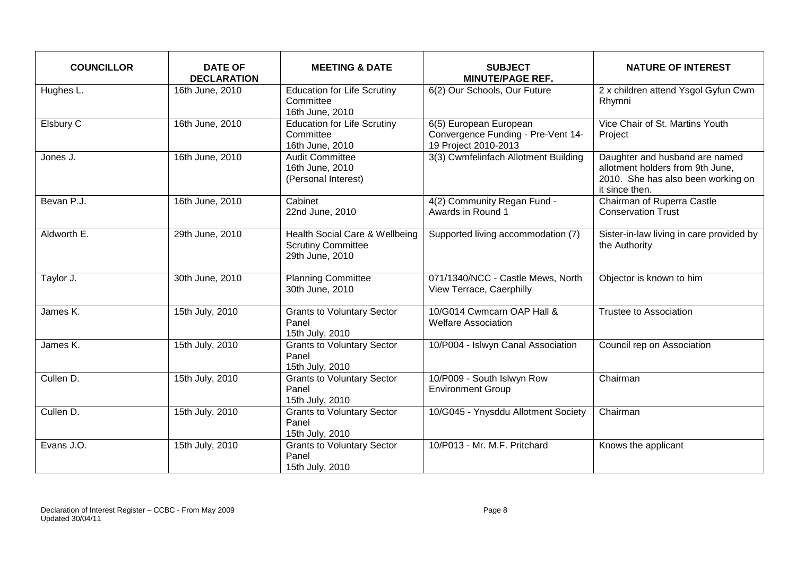| <b>COUNCILLOR</b> | <b>DATE OF</b><br><b>DECLARATION</b> | <b>MEETING &amp; DATE</b>                                                      | <b>SUBJECT</b><br><b>MINUTE/PAGE REF.</b>                                            | <b>NATURE OF INTEREST</b>                                                                                                  |
|-------------------|--------------------------------------|--------------------------------------------------------------------------------|--------------------------------------------------------------------------------------|----------------------------------------------------------------------------------------------------------------------------|
| Hughes L.         | 16th June, 2010                      | <b>Education for Life Scrutiny</b><br>Committee<br>16th June, 2010             | 6(2) Our Schools, Our Future                                                         | 2 x children attend Ysgol Gyfun Cwm<br>Rhymni                                                                              |
| Elsbury C         | 16th June, 2010                      | <b>Education for Life Scrutiny</b><br>Committee<br>16th June, 2010             | 6(5) European European<br>Convergence Funding - Pre-Vent 14-<br>19 Project 2010-2013 | Vice Chair of St. Martins Youth<br>Project                                                                                 |
| Jones J.          | 16th June, 2010                      | <b>Audit Committee</b><br>16th June, 2010<br>(Personal Interest)               | 3(3) Cwmfelinfach Allotment Building                                                 | Daughter and husband are named<br>allotment holders from 9th June,<br>2010. She has also been working on<br>it since then. |
| Bevan P.J.        | 16th June, 2010                      | Cabinet<br>22nd June, 2010                                                     | 4(2) Community Regan Fund -<br>Awards in Round 1                                     | Chairman of Ruperra Castle<br><b>Conservation Trust</b>                                                                    |
| Aldworth E.       | 29th June, 2010                      | Health Social Care & Wellbeing<br><b>Scrutiny Committee</b><br>29th June, 2010 | Supported living accommodation (7)                                                   | Sister-in-law living in care provided by<br>the Authority                                                                  |
| Taylor J.         | 30th June, 2010                      | <b>Planning Committee</b><br>30th June, 2010                                   | 071/1340/NCC - Castle Mews, North<br>View Terrace, Caerphilly                        | Objector is known to him                                                                                                   |
| James K.          | 15th July, 2010                      | <b>Grants to Voluntary Sector</b><br>Panel<br>15th July, 2010                  | 10/G014 Cwmcarn OAP Hall &<br><b>Welfare Association</b>                             | <b>Trustee to Association</b>                                                                                              |
| James K.          | 15th July, 2010                      | <b>Grants to Voluntary Sector</b><br>Panel<br>15th July, 2010                  | 10/P004 - Islwyn Canal Association                                                   | Council rep on Association                                                                                                 |
| Cullen D.         | 15th July, 2010                      | <b>Grants to Voluntary Sector</b><br>Panel<br>15th July, 2010                  | 10/P009 - South Islwyn Row<br><b>Environment Group</b>                               | Chairman                                                                                                                   |
| Cullen D.         | 15th July, 2010                      | <b>Grants to Voluntary Sector</b><br>Panel<br>15th July, 2010                  | 10/G045 - Ynysddu Allotment Society                                                  | Chairman                                                                                                                   |
| Evans J.O.        | 15th July, 2010                      | <b>Grants to Voluntary Sector</b><br>Panel<br>15th July, 2010                  | 10/P013 - Mr. M.F. Pritchard                                                         | Knows the applicant                                                                                                        |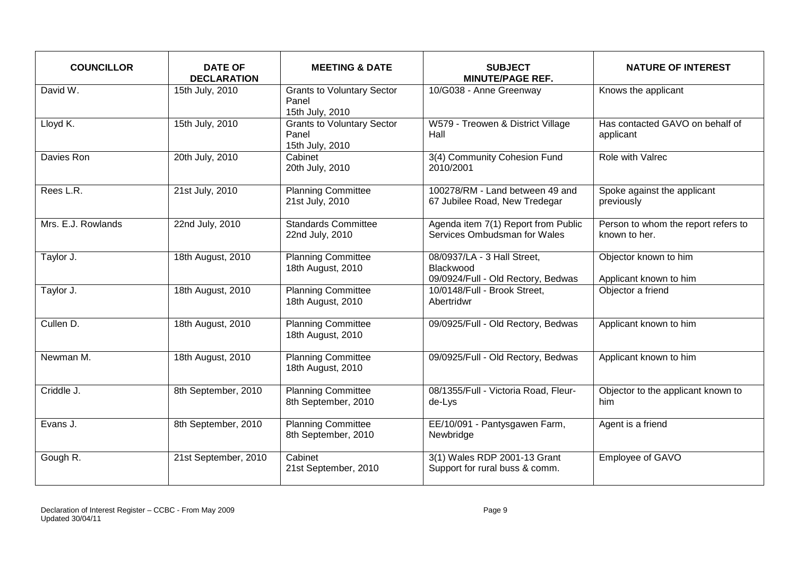| <b>COUNCILLOR</b>        | <b>DATE OF</b><br><b>DECLARATION</b> | <b>MEETING &amp; DATE</b>                                     | <b>SUBJECT</b><br><b>MINUTE/PAGE REF.</b>                                      | <b>NATURE OF INTEREST</b>                            |
|--------------------------|--------------------------------------|---------------------------------------------------------------|--------------------------------------------------------------------------------|------------------------------------------------------|
| David W.                 | 15th July, 2010                      | <b>Grants to Voluntary Sector</b><br>Panel<br>15th July, 2010 | 10/G038 - Anne Greenway                                                        | Knows the applicant                                  |
| Lloyd K.                 | 15th July, 2010                      | <b>Grants to Voluntary Sector</b><br>Panel<br>15th July, 2010 | W579 - Treowen & District Village<br>Hall                                      | Has contacted GAVO on behalf of<br>applicant         |
| Davies Ron               | 20th July, 2010                      | Cabinet<br>20th July, 2010                                    | 3(4) Community Cohesion Fund<br>2010/2001                                      | Role with Valrec                                     |
| Rees L.R.                | 21st July, 2010                      | <b>Planning Committee</b><br>21st July, 2010                  | 100278/RM - Land between 49 and<br>67 Jubilee Road, New Tredegar               | Spoke against the applicant<br>previously            |
| Mrs. E.J. Rowlands       | 22nd July, 2010                      | <b>Standards Committee</b><br>22nd July, 2010                 | Agenda item 7(1) Report from Public<br>Services Ombudsman for Wales            | Person to whom the report refers to<br>known to her. |
| Taylor J.                | 18th August, 2010                    | <b>Planning Committee</b><br>18th August, 2010                | 08/0937/LA - 3 Hall Street,<br>Blackwood<br>09/0924/Full - Old Rectory, Bedwas | Objector known to him<br>Applicant known to him      |
| Taylor J.                | 18th August, 2010                    | <b>Planning Committee</b><br>18th August, 2010                | 10/0148/Full - Brook Street,<br>Abertridwr                                     | Objector a friend                                    |
| Cullen D.                | 18th August, 2010                    | <b>Planning Committee</b><br>18th August, 2010                | 09/0925/Full - Old Rectory, Bedwas                                             | Applicant known to him                               |
| Newman M.                | 18th August, 2010                    | <b>Planning Committee</b><br>18th August, 2010                | 09/0925/Full - Old Rectory, Bedwas                                             | Applicant known to him                               |
| Criddle $\overline{J}$ . | 8th September, 2010                  | <b>Planning Committee</b><br>8th September, 2010              | 08/1355/Full - Victoria Road, Fleur-<br>de-Lys                                 | Objector to the applicant known to<br>him            |
| Evans J.                 | 8th September, 2010                  | <b>Planning Committee</b><br>8th September, 2010              | EE/10/091 - Pantysgawen Farm,<br>Newbridge                                     | Agent is a friend                                    |
| Gough R.                 | 21st September, 2010                 | Cabinet<br>21st September, 2010                               | 3(1) Wales RDP 2001-13 Grant<br>Support for rural buss & comm.                 | Employee of GAVO                                     |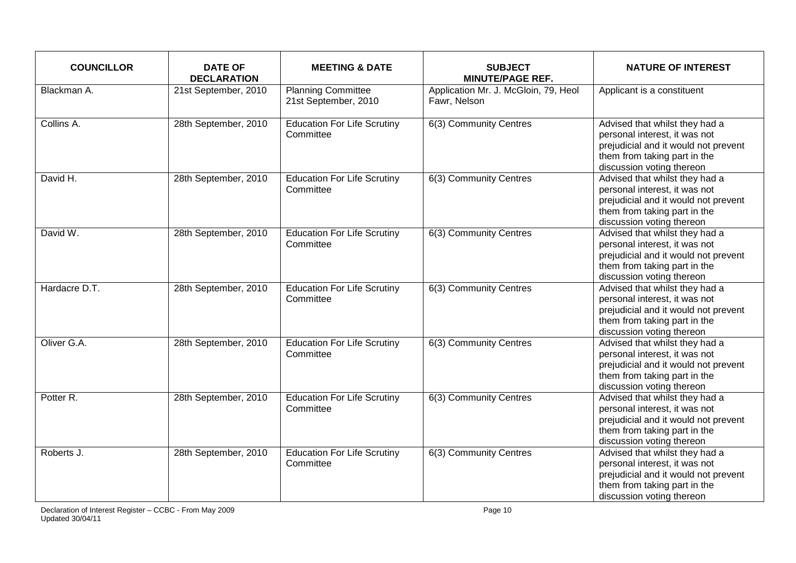| <b>COUNCILLOR</b> | <b>DATE OF</b><br><b>DECLARATION</b> | <b>MEETING &amp; DATE</b>                         | <b>SUBJECT</b><br><b>MINUTE/PAGE REF.</b>            | <b>NATURE OF INTEREST</b>                                                                                                                                            |
|-------------------|--------------------------------------|---------------------------------------------------|------------------------------------------------------|----------------------------------------------------------------------------------------------------------------------------------------------------------------------|
| Blackman A.       | 21st September, 2010                 | <b>Planning Committee</b><br>21st September, 2010 | Application Mr. J. McGloin, 79, Heol<br>Fawr, Nelson | Applicant is a constituent                                                                                                                                           |
| Collins A.        | 28th September, 2010                 | <b>Education For Life Scrutiny</b><br>Committee   | 6(3) Community Centres                               | Advised that whilst they had a<br>personal interest, it was not<br>prejudicial and it would not prevent<br>them from taking part in the<br>discussion voting thereon |
| David H.          | 28th September, 2010                 | <b>Education For Life Scrutiny</b><br>Committee   | 6(3) Community Centres                               | Advised that whilst they had a<br>personal interest, it was not<br>prejudicial and it would not prevent<br>them from taking part in the<br>discussion voting thereon |
| David W.          | 28th September, 2010                 | <b>Education For Life Scrutiny</b><br>Committee   | 6(3) Community Centres                               | Advised that whilst they had a<br>personal interest, it was not<br>prejudicial and it would not prevent<br>them from taking part in the<br>discussion voting thereon |
| Hardacre D.T.     | 28th September, 2010                 | <b>Education For Life Scrutiny</b><br>Committee   | 6(3) Community Centres                               | Advised that whilst they had a<br>personal interest, it was not<br>prejudicial and it would not prevent<br>them from taking part in the<br>discussion voting thereon |
| Oliver G.A.       | 28th September, 2010                 | <b>Education For Life Scrutiny</b><br>Committee   | 6(3) Community Centres                               | Advised that whilst they had a<br>personal interest, it was not<br>prejudicial and it would not prevent<br>them from taking part in the<br>discussion voting thereon |
| Potter R.         | 28th September, 2010                 | <b>Education For Life Scrutiny</b><br>Committee   | 6(3) Community Centres                               | Advised that whilst they had a<br>personal interest, it was not<br>prejudicial and it would not prevent<br>them from taking part in the<br>discussion voting thereon |
| Roberts J.        | 28th September, 2010                 | <b>Education For Life Scrutiny</b><br>Committee   | 6(3) Community Centres                               | Advised that whilst they had a<br>personal interest, it was not<br>prejudicial and it would not prevent<br>them from taking part in the<br>discussion voting thereon |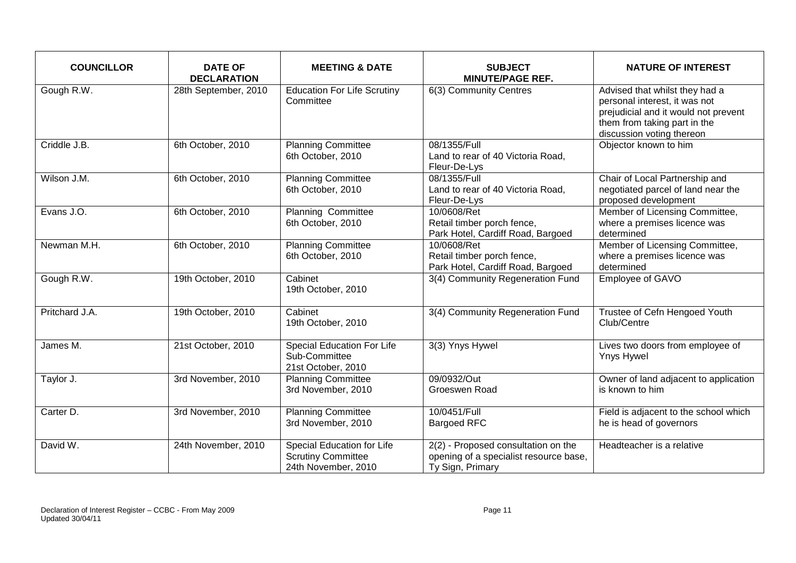| <b>COUNCILLOR</b> | <b>DATE OF</b><br><b>DECLARATION</b> | <b>MEETING &amp; DATE</b>                                                             | <b>SUBJECT</b><br><b>MINUTE/PAGE REF.</b>                                                         | <b>NATURE OF INTEREST</b>                                                                                                                                            |
|-------------------|--------------------------------------|---------------------------------------------------------------------------------------|---------------------------------------------------------------------------------------------------|----------------------------------------------------------------------------------------------------------------------------------------------------------------------|
| Gough R.W.        | 28th September, 2010                 | <b>Education For Life Scrutiny</b><br>Committee                                       | 6(3) Community Centres                                                                            | Advised that whilst they had a<br>personal interest, it was not<br>prejudicial and it would not prevent<br>them from taking part in the<br>discussion voting thereon |
| Criddle J.B.      | 6th October, 2010                    | <b>Planning Committee</b><br>6th October, 2010                                        | 08/1355/Full<br>Land to rear of 40 Victoria Road,<br>Fleur-De-Lys                                 | Objector known to him                                                                                                                                                |
| Wilson J.M.       | 6th October, 2010                    | <b>Planning Committee</b><br>6th October, 2010                                        | 08/1355/Full<br>Land to rear of 40 Victoria Road,<br>Fleur-De-Lys                                 | Chair of Local Partnership and<br>negotiated parcel of land near the<br>proposed development                                                                         |
| Evans J.O.        | 6th October, 2010                    | Planning Committee<br>6th October, 2010                                               | 10/0608/Ret<br>Retail timber porch fence,<br>Park Hotel, Cardiff Road, Bargoed                    | Member of Licensing Committee,<br>where a premises licence was<br>determined                                                                                         |
| Newman M.H.       | 6th October, 2010                    | <b>Planning Committee</b><br>6th October, 2010                                        | 10/0608/Ret<br>Retail timber porch fence,<br>Park Hotel, Cardiff Road, Bargoed                    | Member of Licensing Committee,<br>where a premises licence was<br>determined                                                                                         |
| Gough R.W.        | 19th October, 2010                   | Cabinet<br>19th October, 2010                                                         | 3(4) Community Regeneration Fund                                                                  | Employee of GAVO                                                                                                                                                     |
| Pritchard J.A.    | 19th October, 2010                   | Cabinet<br>19th October, 2010                                                         | 3(4) Community Regeneration Fund                                                                  | Trustee of Cefn Hengoed Youth<br>Club/Centre                                                                                                                         |
| James M.          | 21st October, 2010                   | Special Education For Life<br>Sub-Committee<br>21st October, 2010                     | 3(3) Ynys Hywel                                                                                   | Lives two doors from employee of<br>Ynys Hywel                                                                                                                       |
| Taylor J.         | 3rd November, 2010                   | <b>Planning Committee</b><br>3rd November, 2010                                       | 09/0932/Out<br>Groeswen Road                                                                      | Owner of land adjacent to application<br>is known to him                                                                                                             |
| Carter D.         | 3rd November, 2010                   | <b>Planning Committee</b><br>3rd November, 2010                                       | 10/0451/Full<br><b>Bargoed RFC</b>                                                                | Field is adjacent to the school which<br>he is head of governors                                                                                                     |
| David W.          | 24th November, 2010                  | <b>Special Education for Life</b><br><b>Scrutiny Committee</b><br>24th November, 2010 | 2(2) - Proposed consultation on the<br>opening of a specialist resource base,<br>Ty Sign, Primary | Headteacher is a relative                                                                                                                                            |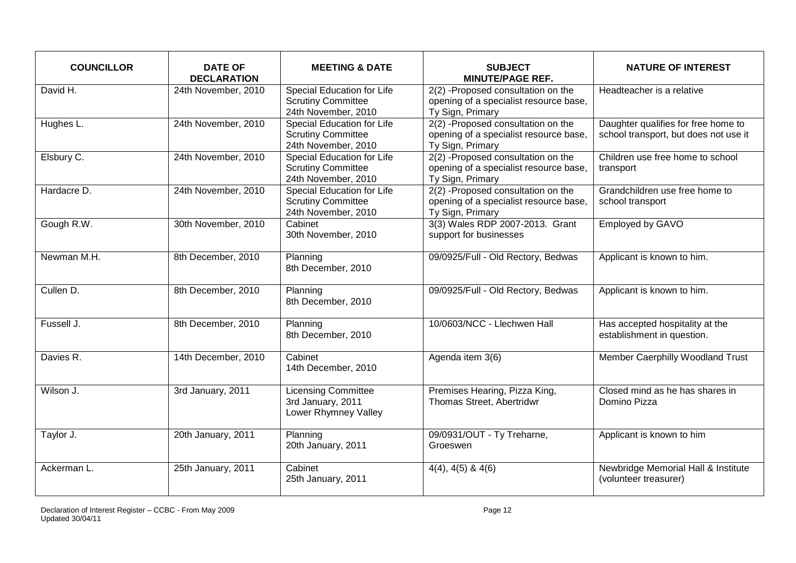| <b>COUNCILLOR</b> | <b>DATE OF</b><br><b>DECLARATION</b> | <b>MEETING &amp; DATE</b>                                                      | <b>SUBJECT</b><br><b>MINUTE/PAGE REF.</b>                                                        | <b>NATURE OF INTEREST</b>                                                    |
|-------------------|--------------------------------------|--------------------------------------------------------------------------------|--------------------------------------------------------------------------------------------------|------------------------------------------------------------------------------|
| David H.          | 24th November, 2010                  | Special Education for Life<br><b>Scrutiny Committee</b><br>24th November, 2010 | 2(2) -Proposed consultation on the<br>opening of a specialist resource base,<br>Ty Sign, Primary | Headteacher is a relative                                                    |
| Hughes L.         | 24th November, 2010                  | Special Education for Life<br><b>Scrutiny Committee</b><br>24th November, 2010 | 2(2) -Proposed consultation on the<br>opening of a specialist resource base,<br>Ty Sign, Primary | Daughter qualifies for free home to<br>school transport, but does not use it |
| Elsbury C.        | 24th November, 2010                  | Special Education for Life<br><b>Scrutiny Committee</b><br>24th November, 2010 | 2(2) -Proposed consultation on the<br>opening of a specialist resource base,<br>Ty Sign, Primary | Children use free home to school<br>transport                                |
| Hardacre D.       | 24th November, 2010                  | Special Education for Life<br><b>Scrutiny Committee</b><br>24th November, 2010 | 2(2) -Proposed consultation on the<br>opening of a specialist resource base,<br>Ty Sign, Primary | Grandchildren use free home to<br>school transport                           |
| Gough R.W.        | 30th November, 2010                  | Cabinet<br>30th November, 2010                                                 | 3(3) Wales RDP 2007-2013. Grant<br>support for businesses                                        | Employed by GAVO                                                             |
| Newman M.H.       | 8th December, 2010                   | Planning<br>8th December, 2010                                                 | 09/0925/Full - Old Rectory, Bedwas                                                               | Applicant is known to him.                                                   |
| Cullen D.         | 8th December, 2010                   | Planning<br>8th December, 2010                                                 | 09/0925/Full - Old Rectory, Bedwas                                                               | Applicant is known to him.                                                   |
| Fussell J.        | 8th December, 2010                   | Planning<br>8th December, 2010                                                 | 10/0603/NCC - Llechwen Hall                                                                      | Has accepted hospitality at the<br>establishment in question.                |
| Davies R.         | 14th December, 2010                  | Cabinet<br>14th December, 2010                                                 | Agenda item 3(6)                                                                                 | Member Caerphilly Woodland Trust                                             |
| Wilson J.         | 3rd January, 2011                    | <b>Licensing Committee</b><br>3rd January, 2011<br>Lower Rhymney Valley        | Premises Hearing, Pizza King,<br>Thomas Street, Abertridwr                                       | Closed mind as he has shares in<br>Domino Pizza                              |
| Taylor J.         | 20th January, 2011                   | Planning<br>20th January, 2011                                                 | 09/0931/OUT - Ty Treharne,<br>Groeswen                                                           | Applicant is known to him                                                    |
| Ackerman L.       | 25th January, 2011                   | Cabinet<br>25th January, 2011                                                  | $4(4)$ , $4(5)$ & $4(6)$                                                                         | Newbridge Memorial Hall & Institute<br>(volunteer treasurer)                 |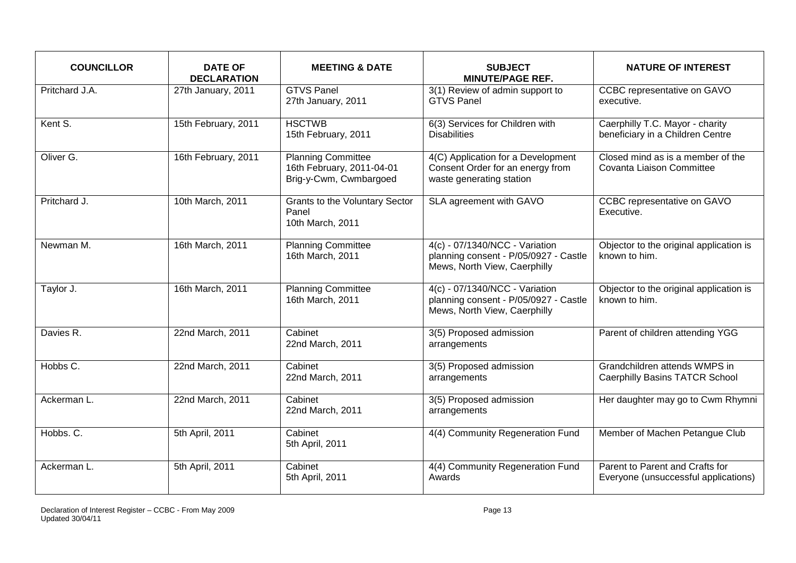| <b>COUNCILLOR</b> | <b>DATE OF</b><br><b>DECLARATION</b> | <b>MEETING &amp; DATE</b>                                                        | <b>SUBJECT</b><br><b>MINUTE/PAGE REF.</b>                                                               | <b>NATURE OF INTEREST</b>                                               |
|-------------------|--------------------------------------|----------------------------------------------------------------------------------|---------------------------------------------------------------------------------------------------------|-------------------------------------------------------------------------|
| Pritchard J.A.    | 27th January, 2011                   | <b>GTVS Panel</b><br>27th January, 2011                                          | 3(1) Review of admin support to<br><b>GTVS Panel</b>                                                    | CCBC representative on GAVO<br>executive.                               |
| Kent S.           | 15th February, 2011                  | <b>HSCTWB</b><br>15th February, 2011                                             | 6(3) Services for Children with<br><b>Disabilities</b>                                                  | Caerphilly T.C. Mayor - charity<br>beneficiary in a Children Centre     |
| Oliver G.         | 16th February, 2011                  | <b>Planning Committee</b><br>16th February, 2011-04-01<br>Brig-y-Cwm, Cwmbargoed | 4(C) Application for a Development<br>Consent Order for an energy from<br>waste generating station      | Closed mind as is a member of the<br>Covanta Liaison Committee          |
| Pritchard J.      | 10th March, 2011                     | <b>Grants to the Voluntary Sector</b><br>Panel<br>10th March, 2011               | SLA agreement with GAVO                                                                                 | CCBC representative on GAVO<br>Executive.                               |
| Newman M.         | 16th March, 2011                     | <b>Planning Committee</b><br>16th March, 2011                                    | 4(c) - 07/1340/NCC - Variation<br>planning consent - P/05/0927 - Castle<br>Mews, North View, Caerphilly | Objector to the original application is<br>known to him.                |
| Taylor J.         | 16th March, 2011                     | <b>Planning Committee</b><br>16th March, 2011                                    | 4(c) - 07/1340/NCC - Variation<br>planning consent - P/05/0927 - Castle<br>Mews, North View, Caerphilly | Objector to the original application is<br>known to him.                |
| Davies R.         | 22nd March, 2011                     | Cabinet<br>22nd March, 2011                                                      | 3(5) Proposed admission<br>arrangements                                                                 | Parent of children attending YGG                                        |
| Hobbs C.          | 22nd March, 2011                     | Cabinet<br>22nd March, 2011                                                      | 3(5) Proposed admission<br>arrangements                                                                 | Grandchildren attends WMPS in<br><b>Caerphilly Basins TATCR School</b>  |
| Ackerman L.       | 22nd March, 2011                     | Cabinet<br>22nd March, 2011                                                      | 3(5) Proposed admission<br>arrangements                                                                 | Her daughter may go to Cwm Rhymni                                       |
| Hobbs. C.         | 5th April, 2011                      | Cabinet<br>5th April, 2011                                                       | 4(4) Community Regeneration Fund                                                                        | Member of Machen Petangue Club                                          |
| Ackerman L.       | 5th April, 2011                      | $\overline{\text{C}}$ abinet<br>5th April, 2011                                  | 4(4) Community Regeneration Fund<br>Awards                                                              | Parent to Parent and Crafts for<br>Everyone (unsuccessful applications) |